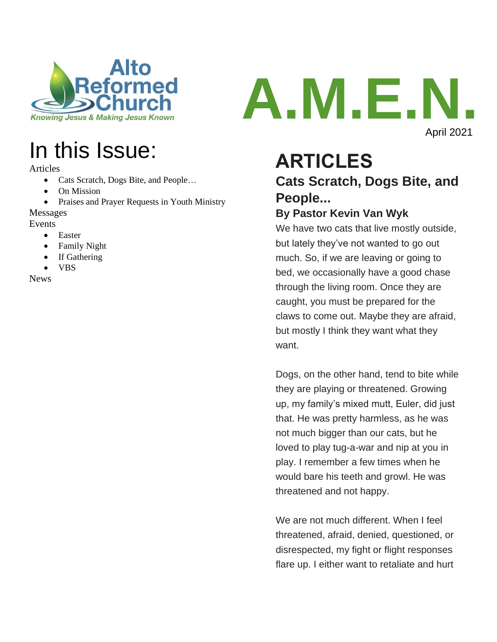



Articles

- Cats Scratch, Dogs Bite, and People…
- On Mission
- Praises and Prayer Requests in Youth Ministry

#### Messages

Events

- Easter
- Family Night
- If Gathering
- VBS

News



## **ARTICLES Cats Scratch, Dogs Bite, and People...**

#### **By Pastor Kevin Van Wyk**

We have two cats that live mostly outside, but lately they've not wanted to go out much. So, if we are leaving or going to bed, we occasionally have a good chase through the living room. Once they are caught, you must be prepared for the claws to come out. Maybe they are afraid, but mostly I think they want what they want.

Dogs, on the other hand, tend to bite while they are playing or threatened. Growing up, my family's mixed mutt, Euler, did just that. He was pretty harmless, as he was not much bigger than our cats, but he loved to play tug-a-war and nip at you in play. I remember a few times when he would bare his teeth and growl. He was threatened and not happy.

We are not much different. When I feel threatened, afraid, denied, questioned, or disrespected, my fight or flight responses flare up. I either want to retaliate and hurt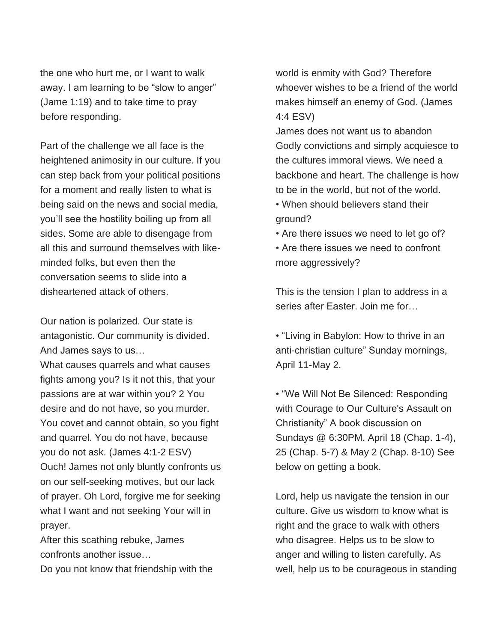the one who hurt me, or I want to walk away. I am learning to be "slow to anger" (Jame 1:19) and to take time to pray before responding.

Part of the challenge we all face is the heightened animosity in our culture. If you can step back from your political positions for a moment and really listen to what is being said on the news and social media, you'll see the hostility boiling up from all sides. Some are able to disengage from all this and surround themselves with likeminded folks, but even then the conversation seems to slide into a disheartened attack of others.

Our nation is polarized. Our state is antagonistic. Our community is divided. And James says to us…

What causes quarrels and what causes fights among you? Is it not this, that your passions are at war within you? 2 You desire and do not have, so you murder. You covet and cannot obtain, so you fight and quarrel. You do not have, because you do not ask. (James 4:1-2 ESV) Ouch! James not only bluntly confronts us on our self-seeking motives, but our lack of prayer. Oh Lord, forgive me for seeking what I want and not seeking Your will in prayer.

After this scathing rebuke, James confronts another issue…

Do you not know that friendship with the

world is enmity with God? Therefore whoever wishes to be a friend of the world makes himself an enemy of God. (James 4:4 ESV)

James does not want us to abandon Godly convictions and simply acquiesce to the cultures immoral views. We need a backbone and heart. The challenge is how to be in the world, but not of the world.

- When should believers stand their ground?
- Are there issues we need to let go of?
- Are there issues we need to confront more aggressively?

This is the tension I plan to address in a series after Easter. Join me for…

• "Living in Babylon: How to thrive in an anti-christian culture" Sunday mornings, April 11-May 2.

• "We Will Not Be Silenced: Responding with Courage to Our Culture's Assault on Christianity" A book discussion on Sundays @ 6:30PM. April 18 (Chap. 1-4), 25 (Chap. 5-7) & May 2 (Chap. 8-10) See below on getting a book.

Lord, help us navigate the tension in our culture. Give us wisdom to know what is right and the grace to walk with others who disagree. Helps us to be slow to anger and willing to listen carefully. As well, help us to be courageous in standing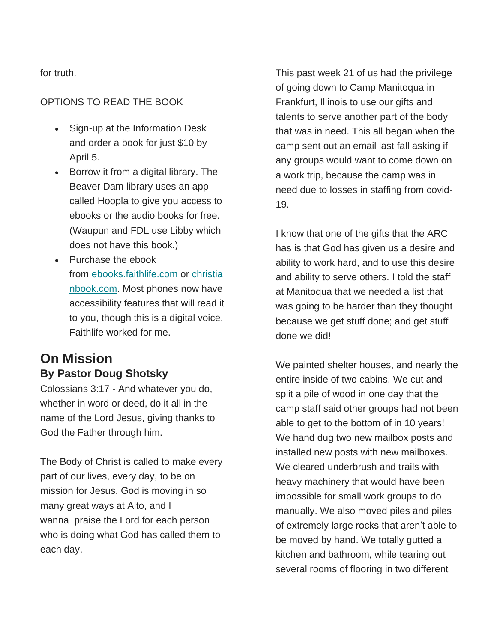for truth.

#### OPTIONS TO READ THE BOOK

- Sign-up at the Information Desk and order a book for just \$10 by April 5.
- Borrow it from a digital library. The Beaver Dam library uses an app called Hoopla to give you access to ebooks or the audio books for free. (Waupun and FDL use Libby which does not have this book.)
- Purchase the ebook from [ebooks.faithlife.com](https://na01.safelinks.protection.outlook.com/?url=https%3A%2F%2Febooks.faithlife.com%2Fproduct%2F198182%2Fwe-will-not-be-silenced-responding-courageously-to-our-cultures-assault-on-christianity&data=04%7C01%7C%7C17567b41d4034acc3dc908d8f3c7ab60%7C84df9e7fe9f640afb435aaaaaaaaaaaa%7C1%7C0%7C637527386187631685%7CUnknown%7CTWFpbGZsb3d8eyJWIjoiMC4wLjAwMDAiLCJQIjoiV2luMzIiLCJBTiI6Ik1haWwiLCJXVCI6Mn0%3D%7C1000&sdata=JuMPFxAO897nD92GNSyO6k%2FR1vMVx8rIeELUfVGDKXU%3D&reserved=0) or [christia](https://na01.safelinks.protection.outlook.com/?url=https%3A%2F%2Fwww.christianbook.com%2Fsilenced-responding-courageously-cultures-assault-christianity%2Ferwin-lutzer%2F9780736981804%2Fpd%2F112869EB%3Fevent%3DAAI&data=04%7C01%7C%7C17567b41d4034acc3dc908d8f3c7ab60%7C84df9e7fe9f640afb435aaaaaaaaaaaa%7C1%7C0%7C637527386187641676%7CUnknown%7CTWFpbGZsb3d8eyJWIjoiMC4wLjAwMDAiLCJQIjoiV2luMzIiLCJBTiI6Ik1haWwiLCJXVCI6Mn0%3D%7C1000&sdata=ojdguZC5hKEl7njz8CLl3zk8EUnbEtVzA%2FMPLvolgNc%3D&reserved=0) [nbook.com.](https://na01.safelinks.protection.outlook.com/?url=https%3A%2F%2Fwww.christianbook.com%2Fsilenced-responding-courageously-cultures-assault-christianity%2Ferwin-lutzer%2F9780736981804%2Fpd%2F112869EB%3Fevent%3DAAI&data=04%7C01%7C%7C17567b41d4034acc3dc908d8f3c7ab60%7C84df9e7fe9f640afb435aaaaaaaaaaaa%7C1%7C0%7C637527386187641676%7CUnknown%7CTWFpbGZsb3d8eyJWIjoiMC4wLjAwMDAiLCJQIjoiV2luMzIiLCJBTiI6Ik1haWwiLCJXVCI6Mn0%3D%7C1000&sdata=ojdguZC5hKEl7njz8CLl3zk8EUnbEtVzA%2FMPLvolgNc%3D&reserved=0) Most phones now have accessibility features that will read it to you, though this is a digital voice. Faithlife worked for me.

### **On Mission By Pastor Doug Shotsky**

Colossians 3:17 - And whatever you do, whether in word or deed, do it all in the name of the Lord Jesus, giving thanks to God the Father through him.

The Body of Christ is called to make every part of our lives, every day, to be on mission for Jesus. God is moving in so many great ways at Alto, and I wanna praise the Lord for each person who is doing what God has called them to each day.

This past week 21 of us had the privilege of going down to Camp Manitoqua in Frankfurt, Illinois to use our gifts and talents to serve another part of the body that was in need. This all began when the camp sent out an email last fall asking if any groups would want to come down on a work trip, because the camp was in need due to losses in staffing from covid-19.

I know that one of the gifts that the ARC has is that God has given us a desire and ability to work hard, and to use this desire and ability to serve others. I told the staff at Manitoqua that we needed a list that was going to be harder than they thought because we get stuff done; and get stuff done we did!

We painted shelter houses, and nearly the entire inside of two cabins. We cut and split a pile of wood in one day that the camp staff said other groups had not been able to get to the bottom of in 10 years! We hand dug two new mailbox posts and installed new posts with new mailboxes. We cleared underbrush and trails with heavy machinery that would have been impossible for small work groups to do manually. We also moved piles and piles of extremely large rocks that aren't able to be moved by hand. We totally gutted a kitchen and bathroom, while tearing out several rooms of flooring in two different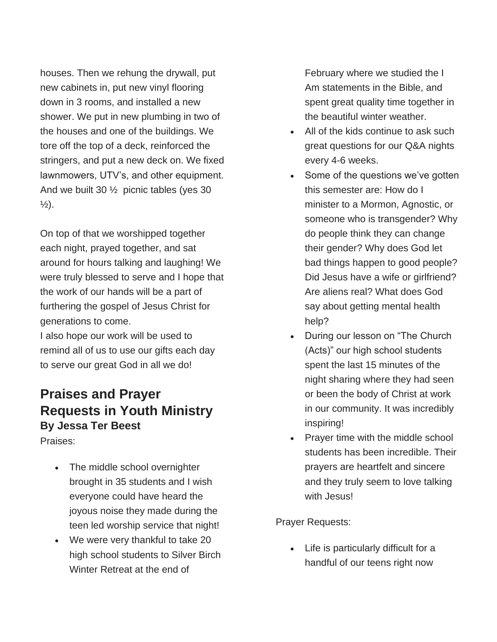houses. Then we rehung the drywall, put new cabinets in, put new vinyl flooring down in 3 rooms, and installed a new shower. We put in new plumbing in two of the houses and one of the buildings. We tore off the top of a deck, reinforced the stringers, and put a new deck on. We fixed lawnmowers, UTV's, and other equipment. And we built 30 ½ picnic tables (yes 30  $\frac{1}{2}$ ).

On top of that we worshipped together each night, prayed together, and sat around for hours talking and laughing! We were truly blessed to serve and I hope that the work of our hands will be a part of furthering the gospel of Jesus Christ for generations to come.

I also hope our work will be used to remind all of us to use our gifts each day to serve our great God in all we do!

### **Praises and Prayer Requests in Youth Ministry By Jessa Ter Beest**

Praises:

- The middle school overnighter brought in 35 students and I wish everyone could have heard the joyous noise they made during the teen led worship service that night!
- We were very thankful to take 20 high school students to Silver Birch Winter Retreat at the end of

February where we studied the I Am statements in the Bible, and spent great quality time together in the beautiful winter weather.

- All of the kids continue to ask such great questions for our Q&A nights every 4-6 weeks.
- Some of the questions we've gotten this semester are: How do I minister to a Mormon, Agnostic, or someone who is transgender? Why do people think they can change their gender? Why does God let bad things happen to good people? Did Jesus have a wife or girlfriend? Are aliens real? What does God say about getting mental health help?
- During our lesson on "The Church (Acts)" our high school students spent the last 15 minutes of the night sharing where they had seen or been the body of Christ at work in our community. It was incredibly inspiring!
- Prayer time with the middle school students has been incredible. Their prayers are heartfelt and sincere and they truly seem to love talking with Jesus!

Prayer Requests:

• Life is particularly difficult for a handful of our teens right now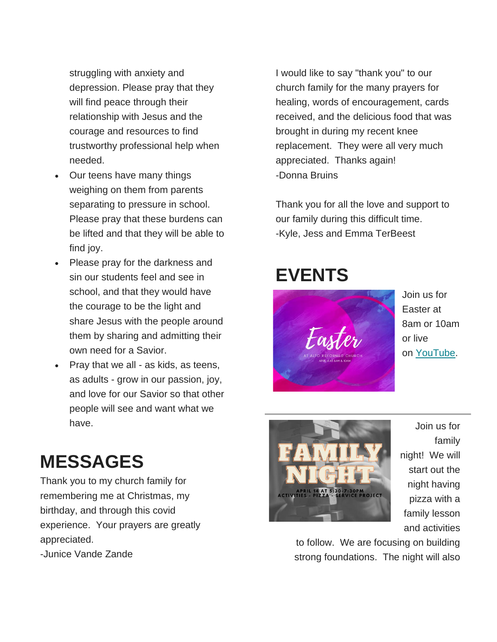struggling with anxiety and depression. Please pray that they will find peace through their relationship with Jesus and the courage and resources to find trustworthy professional help when needed.

- Our teens have many things weighing on them from parents separating to pressure in school. Please pray that these burdens can be lifted and that they will be able to find joy.
- Please pray for the darkness and sin our students feel and see in school, and that they would have the courage to be the light and share Jesus with the people around them by sharing and admitting their own need for a Savior.
- Pray that we all as kids, as teens, as adults - grow in our passion, joy, and love for our Savior so that other people will see and want what we have.

# **MESSAGES**

Thank you to my church family for remembering me at Christmas, my birthday, and through this covid experience. Your prayers are greatly appreciated. -Junice Vande Zande

I would like to say "thank you" to our church family for the many prayers for healing, words of encouragement, cards received, and the delicious food that was brought in during my recent knee replacement. They were all very much appreciated. Thanks again! -Donna Bruins

Thank you for all the love and support to our family during this difficult time. -Kyle, Jess and Emma TerBeest

## **EVENTS**



Join us for Easter at 8am or 10am or live on [YouTube.](https://www.youtube.com/channel/UCTGobcFsjcrNWKZPBSQsM7w)



Join us for family night! We will start out the night having pizza with a family lesson and activities

to follow. We are focusing on building strong foundations. The night will also